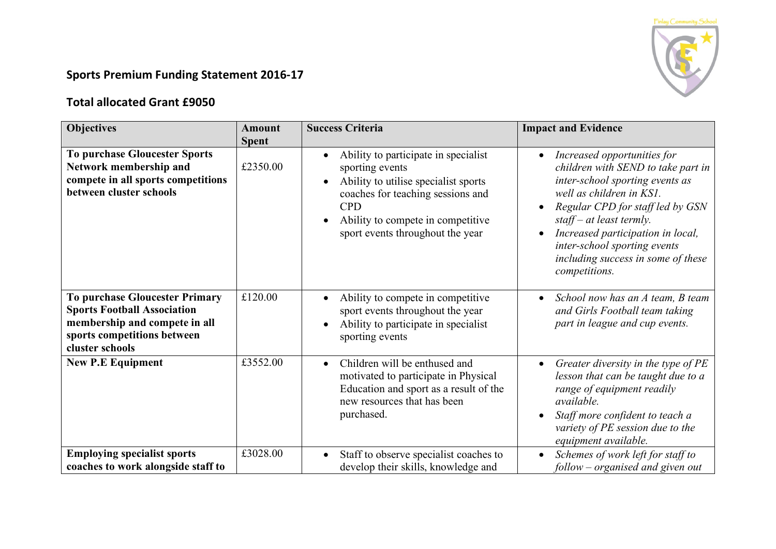

## **Sports Premium Funding Statement 2016-17**

## **Total allocated Grant £9050**

| <b>Objectives</b>                                                                                                                                              | Amount       | <b>Success Criteria</b>                                                                                                                                                                                                     | <b>Impact and Evidence</b>                                                                                                                                                                                                                                                                                                                |
|----------------------------------------------------------------------------------------------------------------------------------------------------------------|--------------|-----------------------------------------------------------------------------------------------------------------------------------------------------------------------------------------------------------------------------|-------------------------------------------------------------------------------------------------------------------------------------------------------------------------------------------------------------------------------------------------------------------------------------------------------------------------------------------|
|                                                                                                                                                                | <b>Spent</b> |                                                                                                                                                                                                                             |                                                                                                                                                                                                                                                                                                                                           |
| <b>To purchase Gloucester Sports</b><br>Network membership and<br>compete in all sports competitions<br>between cluster schools                                | £2350.00     | Ability to participate in specialist<br>sporting events<br>Ability to utilise specialist sports<br>coaches for teaching sessions and<br><b>CPD</b><br>Ability to compete in competitive<br>sport events throughout the year | Increased opportunities for<br>$\bullet$<br>children with SEND to take part in<br>inter-school sporting events as<br>well as children in KS1.<br>Regular CPD for staff led by GSN<br>staff – at least termly.<br>Increased participation in local,<br>inter-school sporting events<br>including success in some of these<br>competitions. |
| <b>To purchase Gloucester Primary</b><br><b>Sports Football Association</b><br>membership and compete in all<br>sports competitions between<br>cluster schools | £120.00      | Ability to compete in competitive<br>sport events throughout the year<br>Ability to participate in specialist<br>sporting events                                                                                            | School now has an A team, B team<br>$\bullet$<br>and Girls Football team taking<br>part in league and cup events.                                                                                                                                                                                                                         |
| <b>New P.E Equipment</b>                                                                                                                                       | £3552.00     | Children will be enthused and<br>$\bullet$<br>motivated to participate in Physical<br>Education and sport as a result of the<br>new resources that has been<br>purchased.                                                   | Greater diversity in the type of PE<br>$\bullet$<br>lesson that can be taught due to a<br>range of equipment readily<br>available.<br>Staff more confident to teach a<br>variety of PE session due to the<br>equipment available.                                                                                                         |
| <b>Employing specialist sports</b><br>coaches to work alongside staff to                                                                                       | £3028.00     | Staff to observe specialist coaches to<br>develop their skills, knowledge and                                                                                                                                               | Schemes of work left for staff to<br>follow – organised and given out                                                                                                                                                                                                                                                                     |